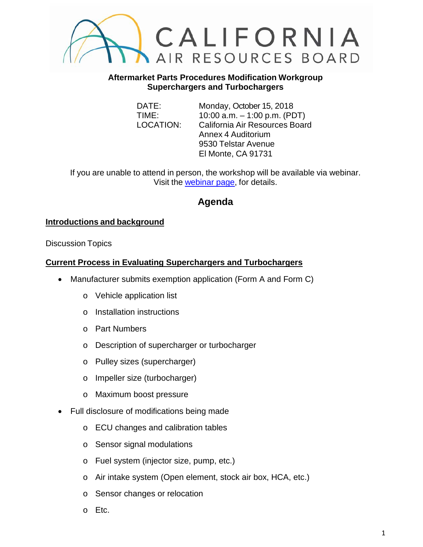

#### **Aftermarket Parts Procedures Modification Workgroup Superchargers and Turbochargers**

DATE: Monday, October 15, 2018 TIME: 10:00 a.m. – 1:00 p.m. (PDT) LOCATION: California Air Resources Board Annex 4 Auditorium 9530 Telstar Avenue El Monte, CA 91731

If you are unable to attend in person, the workshop will be available via webinar. Visit the [webinar page,](https://attendee.gotowebinar.com/register/1922594331561015811) for details.

# **Agenda**

# **Introductions and background**

Discussion Topics

## **Current Process in Evaluating Superchargers and Turbochargers**

- Manufacturer submits exemption application (Form A and Form C)
	- o Vehicle application list
	- o Installation instructions
	- o Part Numbers
	- o Description of supercharger or turbocharger
	- o Pulley sizes (supercharger)
	- o Impeller size (turbocharger)
	- o Maximum boost pressure
- Full disclosure of modifications being made
	- o ECU changes and calibration tables
	- o Sensor signal modulations
	- o Fuel system (injector size, pump, etc.)
	- o Air intake system (Open element, stock air box, HCA, etc.)
	- o Sensor changes or relocation
	- o Etc.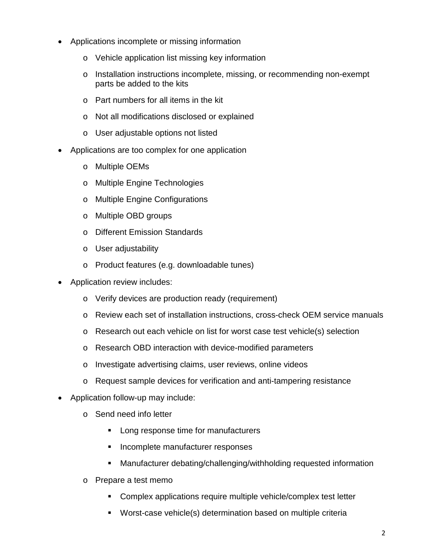- Applications incomplete or missing information
	- o Vehicle application list missing key information
	- o Installation instructions incomplete, missing, or recommending non-exempt parts be added to the kits
	- $\circ$  Part numbers for all items in the kit
	- o Not all modifications disclosed or explained
	- o User adjustable options not listed
- Applications are too complex for one application
	- o Multiple OEMs
	- o Multiple Engine Technologies
	- o Multiple Engine Configurations
	- o Multiple OBD groups
	- o Different Emission Standards
	- o User adjustability
	- o Product features (e.g. downloadable tunes)
- Application review includes:
	- o Verify devices are production ready (requirement)
	- o Review each set of installation instructions, cross-check OEM service manuals
	- o Research out each vehicle on list for worst case test vehicle(s) selection
	- o Research OBD interaction with device-modified parameters
	- o Investigate advertising claims, user reviews, online videos
	- o Request sample devices for verification and anti-tampering resistance
- Application follow-up may include:
	- o Send need info letter
		- **Long response time for manufacturers**
		- **Incomplete manufacturer responses**
		- Manufacturer debating/challenging/withholding requested information
	- o Prepare a test memo
		- **Complex applications require multiple vehicle/complex test letter**
		- Worst-case vehicle(s) determination based on multiple criteria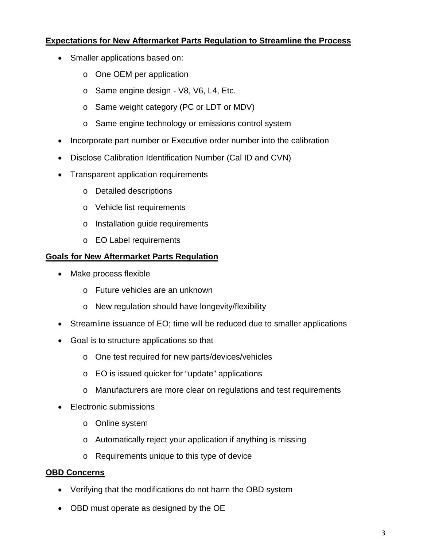#### **Expectations for New Aftermarket Parts Regulation to Streamline the Process**

- Smaller applications based on:
	- o One OEM per application
	- o Same engine design V8, V6, L4, Etc.
	- o Same weight category (PC or LDT or MDV)
	- o Same engine technology or emissions control system
- Incorporate part number or Executive order number into the calibration
- Disclose Calibration Identification Number (Cal ID and CVN)
- Transparent application requirements
	- o Detailed descriptions
	- o Vehicle list requirements
	- o Installation guide requirements
	- o EO Label requirements

# **Goals for New Aftermarket Parts Regulation**

- Make process flexible
	- o Future vehicles are an unknown
	- o New regulation should have longevity/flexibility
- Streamline issuance of EO; time will be reduced due to smaller applications
- Goal is to structure applications so that
	- o One test required for new parts/devices/vehicles
	- o EO is issued quicker for "update" applications
	- o Manufacturers are more clear on regulations and test requirements
- Electronic submissions
	- o Online system
	- o Automatically reject your application if anything is missing
	- o Requirements unique to this type of device

## **OBD Concerns**

- Verifying that the modifications do not harm the OBD system
- OBD must operate as designed by the OE